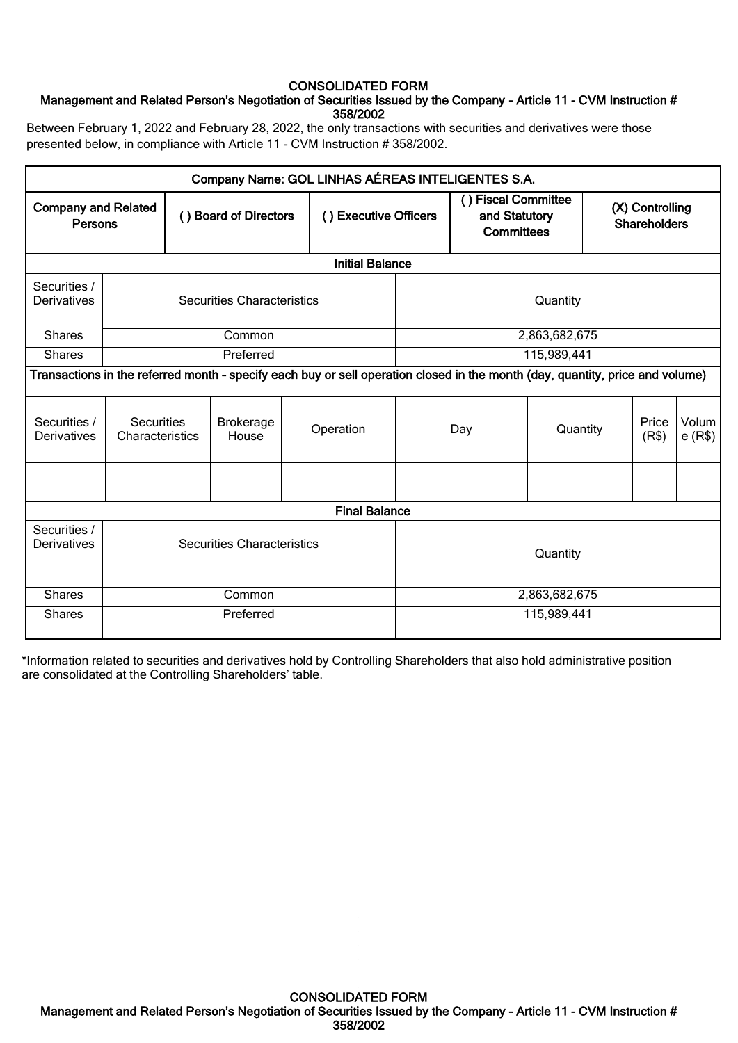# CONSOLIDATED FORM

# Management and Related Person's Negotiation of Securities Issued by the Company - Article 11 - CVM Instruction # 358/2002

Between February 1, 2022 and February 28, 2022, the only transactions with securities and derivatives were those presented below, in compliance with Article 11 - CVM Instruction # 358/2002.

|                                       |                                   |  |                                   | Company Name: GOL LINHAS AÉREAS INTELIGENTES S.A.                                                                             |                       |             |                                                           |                                        |                |                 |
|---------------------------------------|-----------------------------------|--|-----------------------------------|-------------------------------------------------------------------------------------------------------------------------------|-----------------------|-------------|-----------------------------------------------------------|----------------------------------------|----------------|-----------------|
| <b>Company and Related</b><br>Persons |                                   |  | () Board of Directors             |                                                                                                                               | () Executive Officers |             | () Fiscal Committee<br>and Statutory<br><b>Committees</b> | (X) Controlling<br><b>Shareholders</b> |                |                 |
|                                       |                                   |  |                                   | <b>Initial Balance</b>                                                                                                        |                       |             |                                                           |                                        |                |                 |
| Securities /<br>Derivatives           |                                   |  | <b>Securities Characteristics</b> |                                                                                                                               |                       |             | Quantity                                                  |                                        |                |                 |
| <b>Shares</b>                         |                                   |  | Common                            |                                                                                                                               |                       |             | 2,863,682,675                                             |                                        |                |                 |
| <b>Shares</b>                         |                                   |  | Preferred                         |                                                                                                                               |                       | 115,989,441 |                                                           |                                        |                |                 |
|                                       |                                   |  |                                   | Transactions in the referred month - specify each buy or sell operation closed in the month (day, quantity, price and volume) |                       |             |                                                           |                                        |                |                 |
| Securities /<br>Derivatives           | Securities<br>Characteristics     |  | <b>Brokerage</b><br>House         | Operation                                                                                                                     |                       | Day         | Quantity                                                  |                                        | Price<br>(R\$) | Volum<br>e(R\$) |
|                                       |                                   |  |                                   |                                                                                                                               |                       |             |                                                           |                                        |                |                 |
|                                       |                                   |  |                                   | <b>Final Balance</b>                                                                                                          |                       |             |                                                           |                                        |                |                 |
| Securities /<br>Derivatives           | <b>Securities Characteristics</b> |  |                                   | Quantity                                                                                                                      |                       |             |                                                           |                                        |                |                 |
| <b>Shares</b>                         | Common                            |  |                                   |                                                                                                                               | 2,863,682,675         |             |                                                           |                                        |                |                 |
| <b>Shares</b>                         | Preferred                         |  |                                   | 115,989,441                                                                                                                   |                       |             |                                                           |                                        |                |                 |

\*Information related to securities and derivatives hold by Controlling Shareholders that also hold administrative position are consolidated at the Controlling Shareholders' table.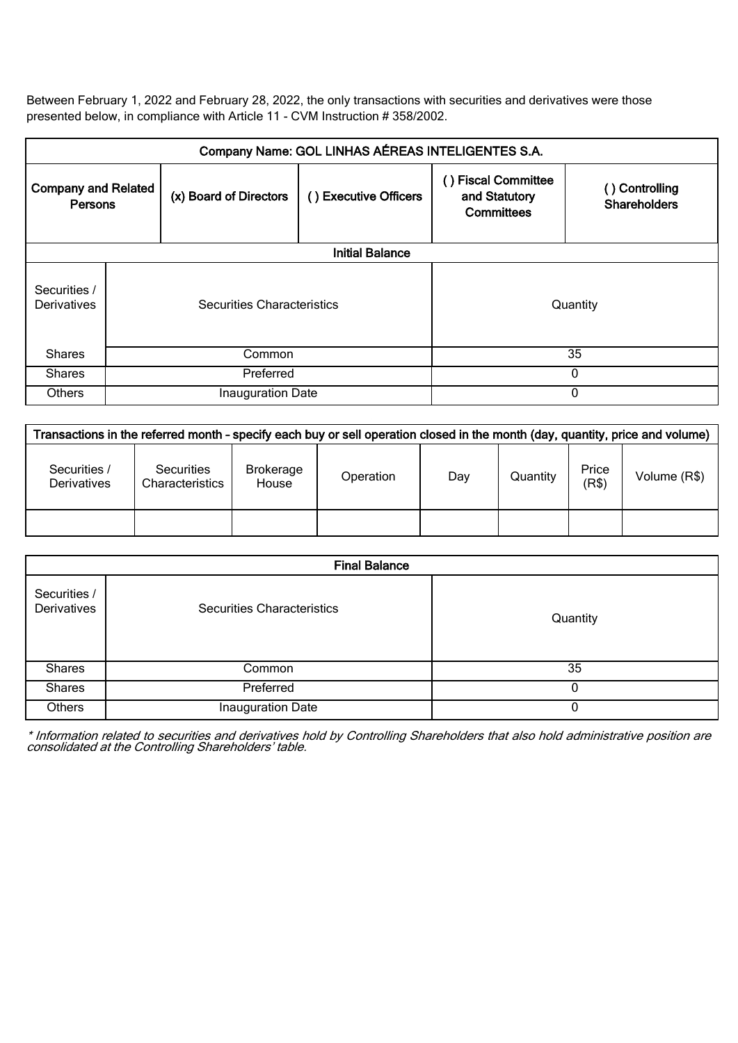Between February 1, 2022 and February 28, 2022, the only transactions with securities and derivatives were those presented below, in compliance with Article 11 - CVM Instruction # 358/2002.

| Company Name: GOL LINHAS AÉREAS INTELIGENTES S.A. |                            |                        |                       |                                                        |                                       |  |  |
|---------------------------------------------------|----------------------------|------------------------|-----------------------|--------------------------------------------------------|---------------------------------------|--|--|
| <b>Company and Related</b><br><b>Persons</b>      |                            | (x) Board of Directors | () Executive Officers | <b>Fiscal Committee</b><br>and Statutory<br>Committees | () Controlling<br><b>Shareholders</b> |  |  |
|                                                   | <b>Initial Balance</b>     |                        |                       |                                                        |                                       |  |  |
| Securities /<br>Derivatives                       | Securities Characteristics |                        |                       |                                                        | Quantity                              |  |  |
| <b>Shares</b>                                     | Common                     |                        |                       | 35                                                     |                                       |  |  |
| <b>Shares</b>                                     | Preferred                  |                        |                       | $\Omega$                                               |                                       |  |  |
| <b>Others</b>                                     | Inauguration Date          |                        |                       | $\Omega$                                               |                                       |  |  |

| Transactions in the referred month - specify each buy or sell operation closed in the month (day, quantity, price and volume) |                                      |                           |           |     |          |                |              |
|-------------------------------------------------------------------------------------------------------------------------------|--------------------------------------|---------------------------|-----------|-----|----------|----------------|--------------|
| Securities /<br><b>Derivatives</b>                                                                                            | <b>Securities</b><br>Characteristics | <b>Brokerage</b><br>House | Operation | Day | Quantity | Price<br>(R\$) | Volume (R\$) |
|                                                                                                                               |                                      |                           |           |     |          |                |              |

|                             | <b>Final Balance</b>       |          |  |  |  |  |
|-----------------------------|----------------------------|----------|--|--|--|--|
| Securities /<br>Derivatives | Securities Characteristics | Quantity |  |  |  |  |
| <b>Shares</b>               | Common                     | 35       |  |  |  |  |
| <b>Shares</b>               | Preferred                  | O        |  |  |  |  |
| Others                      | Inauguration Date          |          |  |  |  |  |

\* Information related to securities and derivatives hold by Controlling Shareholders that also hold administrative position are consolidated at the Controlling Shareholders' table.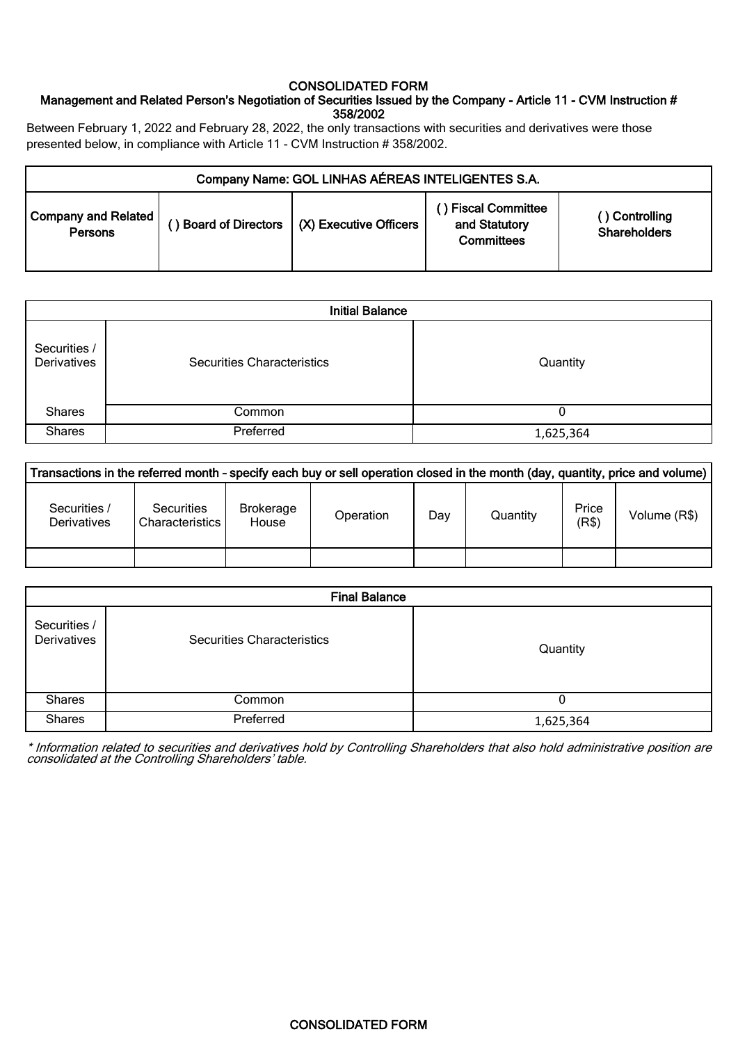### CONSOLIDATED FORM

# Management and Related Person's Negotiation of Securities Issued by the Company - Article 11 - CVM Instruction # 358/2002

Between February 1, 2022 and February 28, 2022, the only transactions with securities and derivatives were those presented below, in compliance with Article 11 - CVM Instruction # 358/2002.

| Company Name: GOL LINHAS AÉREAS INTELIGENTES S.A. |  |                                               |                                                          |                                       |  |  |
|---------------------------------------------------|--|-----------------------------------------------|----------------------------------------------------------|---------------------------------------|--|--|
| <b>Company and Related</b><br>Persons             |  | ) Board of Directors   (X) Executive Officers | ) Fiscal Committee<br>and Statutory<br><b>Committees</b> | () Controlling<br><b>Shareholders</b> |  |  |

| <b>Initial Balance</b>      |                                   |           |  |  |  |
|-----------------------------|-----------------------------------|-----------|--|--|--|
| Securities /<br>Derivatives | <b>Securities Characteristics</b> | Quantity  |  |  |  |
| <b>Shares</b>               | Common                            |           |  |  |  |
| <b>Shares</b>               | Preferred                         | 1,625,364 |  |  |  |

| Transactions in the referred month - specify each buy or sell operation closed in the month (day, quantity, price and volume) |                                             |                           |           |     |          |                |              |
|-------------------------------------------------------------------------------------------------------------------------------|---------------------------------------------|---------------------------|-----------|-----|----------|----------------|--------------|
| Securities /<br><b>Derivatives</b>                                                                                            | <b>Securities</b><br><b>Characteristics</b> | <b>Brokerage</b><br>House | Operation | Day | Quantity | Price<br>(R\$) | Volume (R\$) |
|                                                                                                                               |                                             |                           |           |     |          |                |              |

|                             | <b>Final Balance</b>              |           |  |  |  |  |
|-----------------------------|-----------------------------------|-----------|--|--|--|--|
| Securities /<br>Derivatives | <b>Securities Characteristics</b> | Quantity  |  |  |  |  |
| <b>Shares</b>               | Common                            |           |  |  |  |  |
| <b>Shares</b>               | Preferred                         | 1,625,364 |  |  |  |  |

\* Information related to securities and derivatives hold by Controlling Shareholders that also hold administrative position are consolidated at the Controlling Shareholders' table.